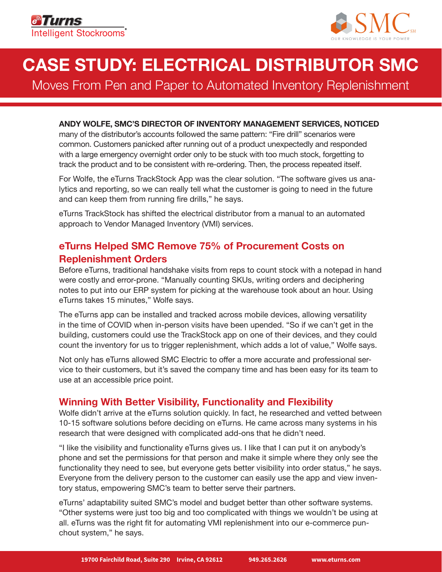

# **CASE STUDY: ELECTRICAL DISTRIBUTOR SMC**

Moves From Pen and Paper to Automated Inventory Replenishment

#### **ANDY WOLFE, SMC'S DIRECTOR OF INVENTORY MANAGEMENT SERVICES, NOTICED**

many of the distributor's accounts followed the same pattern: "Fire drill" scenarios were common. Customers panicked after running out of a product unexpectedly and responded with a large emergency overnight order only to be stuck with too much stock, forgetting to track the product and to be consistent with re-ordering. Then, the process repeated itself.

For Wolfe, the eTurns TrackStock App was the clear solution. "The software gives us analytics and reporting, so we can really tell what the customer is going to need in the future and can keep them from running fire drills," he says.

eTurns TrackStock has shifted the electrical distributor from a manual to an automated approach to Vendor Managed Inventory (VMI) services.

## **eTurns Helped SMC Remove 75% of Procurement Costs on Replenishment Orders**

Before eTurns, traditional handshake visits from reps to count stock with a notepad in hand were costly and error-prone. "Manually counting SKUs, writing orders and deciphering notes to put into our ERP system for picking at the warehouse took about an hour. Using eTurns takes 15 minutes," Wolfe says.

The eTurns app can be installed and tracked across mobile devices, allowing versatility in the time of COVID when in-person visits have been upended. "So if we can't get in the building, customers could use the TrackStock app on one of their devices, and they could count the inventory for us to trigger replenishment, which adds a lot of value," Wolfe says.

Not only has eTurns allowed SMC Electric to offer a more accurate and professional service to their customers, but it's saved the company time and has been easy for its team to use at an accessible price point.

#### **Winning With Better Visibility, Functionality and Flexibility**

Wolfe didn't arrive at the eTurns solution quickly. In fact, he researched and vetted between 10-15 software solutions before deciding on eTurns. He came across many systems in his research that were designed with complicated add-ons that he didn't need.

"I like the visibility and functionality eTurns gives us. I like that I can put it on anybody's phone and set the permissions for that person and make it simple where they only see the functionality they need to see, but everyone gets better visibility into order status," he says. Everyone from the delivery person to the customer can easily use the app and view inventory status, empowering SMC's team to better serve their partners.

eTurns' adaptability suited SMC's model and budget better than other software systems. "Other systems were just too big and too complicated with things we wouldn't be using at all. eTurns was the right fit for automating VMI replenishment into our e-commerce punchout system," he says.